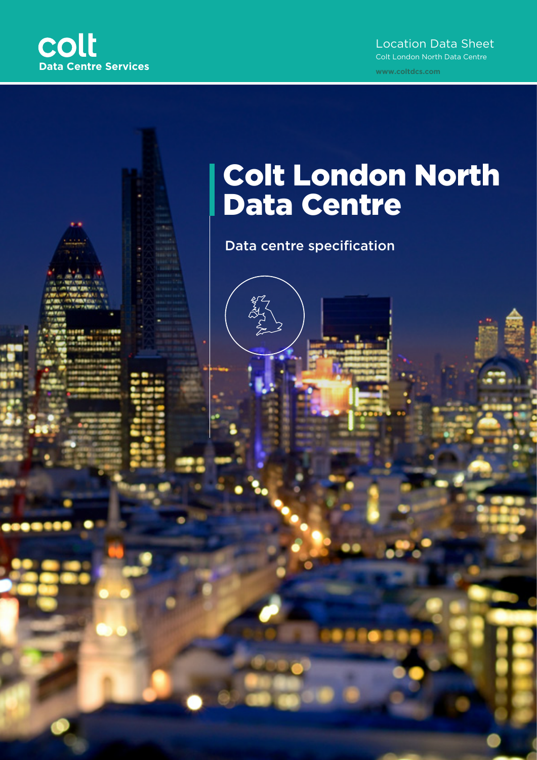

#### Location Data Sheet Colt London North Data Centre

**www.coltdcs.com**

# Colt London North Data Centre

Data centre specification

Andrews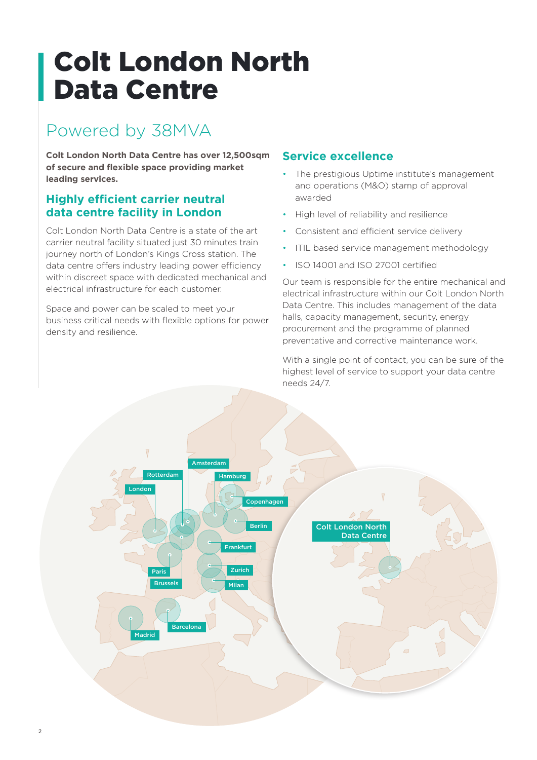# Colt London North Data Centre

# Powered by 38MVA

**Colt London North Data Centre has over 12,500sqm of secure and flexible space providing market leading services.**

## **Highly efficient carrier neutral data centre facility in London**

Colt London North Data Centre is a state of the art carrier neutral facility situated just 30 minutes train journey north of London's Kings Cross station. The data centre offers industry leading power efficiency within discreet space with dedicated mechanical and electrical infrastructure for each customer.

Space and power can be scaled to meet your business critical needs with flexible options for power density and resilience.

## **Service excellence**

- The prestigious Uptime institute's management and operations (M&O) stamp of approval awarded
- High level of reliability and resilience
- Consistent and efficient service delivery
- ITIL based service management methodology
- ISO 14001 and ISO 27001 certified

Our team is responsible for the entire mechanical and electrical infrastructure within our Colt London North Data Centre. This includes management of the data halls, capacity management, security, energy procurement and the programme of planned preventative and corrective maintenance work.

With a single point of contact, you can be sure of the highest level of service to support your data centre needs 24/7.

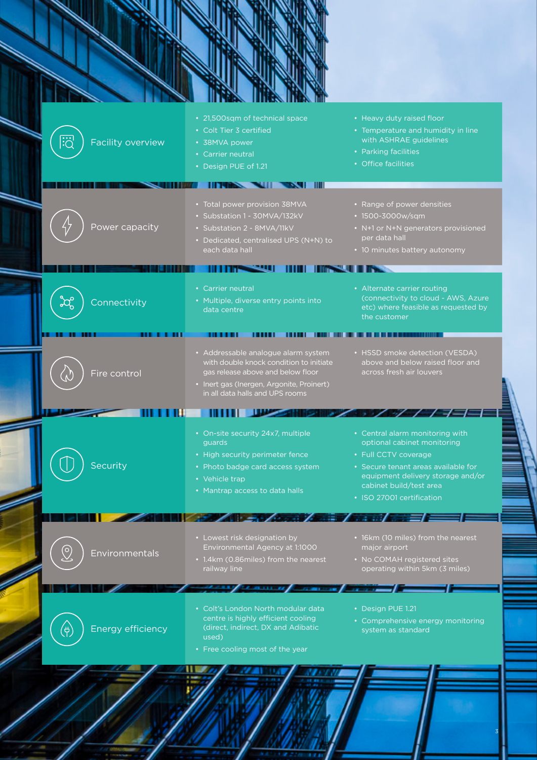